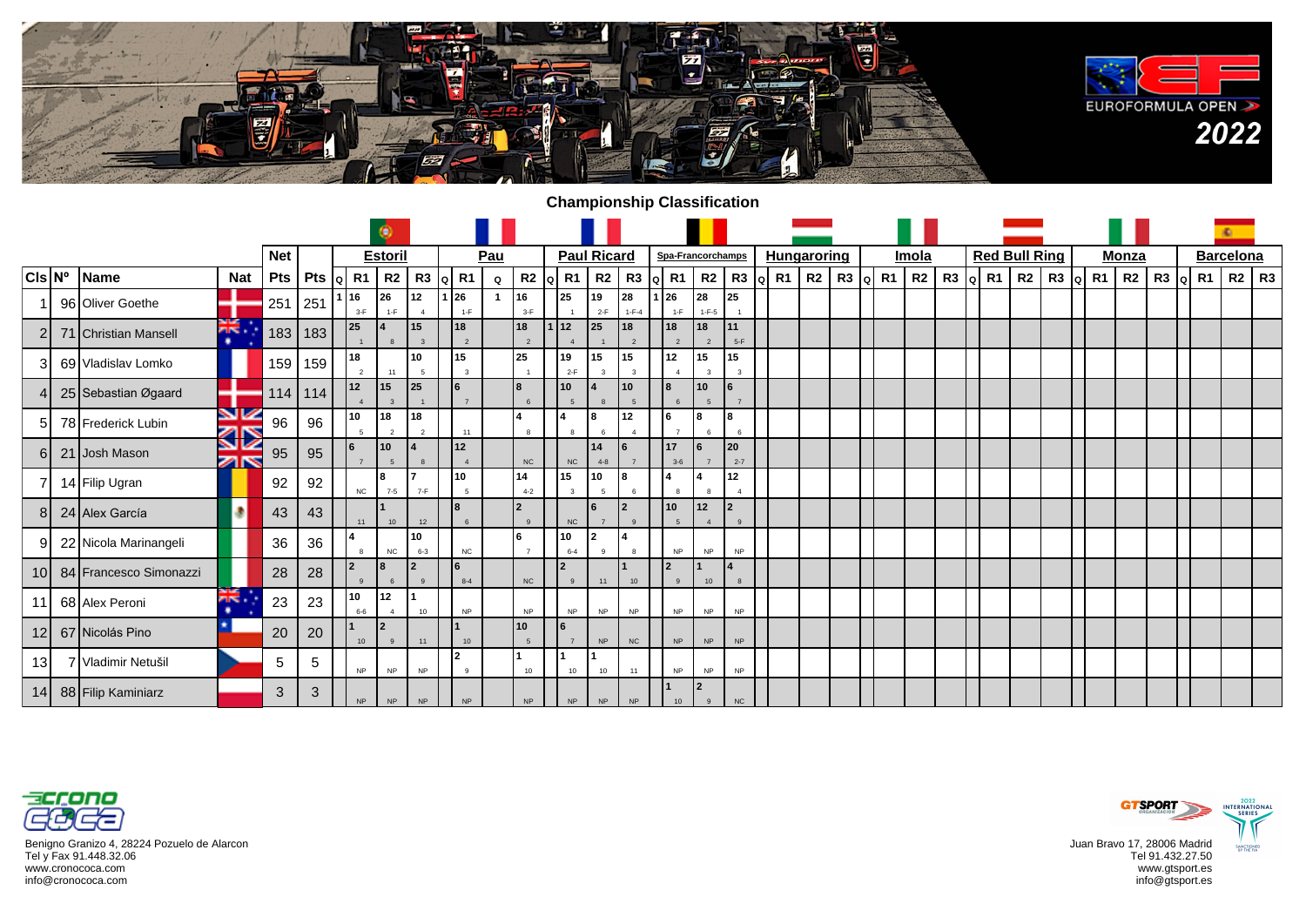

## **Championship Classification**

|                  |                        |            |            | ۵                                        |                  |                      |                |                        |             |                    |                    |                    |                               |                      |                             |                            |                    |         |    |                |             |  |                      |         | ×.                  |              |      |    |                  |           |
|------------------|------------------------|------------|------------|------------------------------------------|------------------|----------------------|----------------|------------------------|-------------|--------------------|--------------------|--------------------|-------------------------------|----------------------|-----------------------------|----------------------------|--------------------|---------|----|----------------|-------------|--|----------------------|---------|---------------------|--------------|------|----|------------------|-----------|
|                  |                        |            | <b>Net</b> |                                          |                  | <b>Estoril</b>       |                |                        | Pau         |                    |                    | <b>Paul Ricard</b> |                               |                      | Spa-Francorchamps           |                            | <b>Hungaroring</b> |         |    | Imola          |             |  | <b>Red Bull Ring</b> |         |                     | <b>Monza</b> |      |    | <b>Barcelona</b> |           |
| $ CIs N^{\circ}$ | Name                   | <b>Nat</b> | Pts        | Pts $\left  \right $ R1 $\left  \right $ |                  | $ q $ R1<br>$R2$ R3  |                |                        | $\mathbf Q$ | $R2$ $\alpha$ $R1$ |                    | R2                 | R3                            |                      | Q R1 R2                     | R3 Q R1                    |                    | R2 R3 Q | R1 | R <sub>2</sub> | $R3$  a  R1 |  |                      | R2   R3 | <b>R1</b>  <br>lo l | R2           | R3 q | R1 |                  | $R2$ $R3$ |
|                  | 96 Oliver Goethe       |            | 251        | 251                                      | 16<br>$3-F$      | 26<br>$1-F$          | 12<br>$\Delta$ | 26<br>$1-F$            |             | 16<br>$3-F$        | 25                 | 19<br>$2-F$        | 28<br>$1 - F - 4$             | l 26<br>$1-F$        | 28<br>$1-F-5$               | 25                         |                    |         |    |                |             |  |                      |         |                     |              |      |    |                  |           |
|                  | 71 Christian Mansell   | ăĶ.<br>٠   |            | 183   183                                | 25               |                      | 15             | 18<br>$\overline{2}$   |             | 18                 | 12                 | 125                | 18<br>$\overline{2}$          | 18<br>$\overline{2}$ | l 18<br>$\overline{2}$      | 11<br>$5-F$                |                    |         |    |                |             |  |                      |         |                     |              |      |    |                  |           |
| 31               | 69 Vladislav Lomko     |            | 159        | 159                                      | 18               |                      | 10             | 15<br>$\mathbf{R}$     |             | 25                 | 19<br>$2-F$        | 15                 | 15<br>$\overline{\mathbf{z}}$ | 12                   | 15                          | 15                         |                    |         |    |                |             |  |                      |         |                     |              |      |    |                  |           |
|                  | 25 Sebastian Øgaard    |            | 114        | 114                                      | 12               | 115                  | 25             | 6<br>$\overline{7}$    |             | 8                  | 10                 |                    | 10<br>$5\overline{2}$         | lя.<br>6             | 10<br>5                     | 6                          |                    |         |    |                |             |  |                      |         |                     |              |      |    |                  |           |
| 51               | 78 Frederick Lubin     | V<br>ସ⊠    | 96         | 96                                       | 10<br>$\sqrt{5}$ | 18<br>$\overline{2}$ | 18<br>2        | 11                     |             |                    | 14<br>$\mathbf{g}$ | 8<br>6             | 12<br>$\overline{4}$          |                      | l8<br>6                     |                            |                    |         |    |                |             |  |                      |         |                     |              |      |    |                  |           |
| 6I               | 21 Josh Mason          | K          | 95         | 95                                       | l 6              | l 10<br>5            |                | $12$<br>$\overline{4}$ |             | NC                 | NC                 | 14<br>$4 - 8$      |                               | 17<br>$3-6$          | l6                          | 20<br>$2 - 7$              |                    |         |    |                |             |  |                      |         |                     |              |      |    |                  |           |
|                  | 14 Filip Ugran         |            | 92         | 92                                       | NC               | l8<br>$7 - 5$        | $7-F$          | 10<br>-5               |             | 14<br>$4 - 2$      | 15<br>$\mathbf{3}$ | 10<br>5            |                               |                      | 14                          | 12                         |                    |         |    |                |             |  |                      |         |                     |              |      |    |                  |           |
| 81               | 24 Alex García         |            | 43         | 43                                       | 11               | 10                   | 12             | 6                      |             | $\overline{2}$     | NC                 | l6                 | l2<br>$\overline{9}$          | 10<br>$\overline{5}$ | 12<br>$\Delta$              | $\overline{2}$<br>$\alpha$ |                    |         |    |                |             |  |                      |         |                     |              |      |    |                  |           |
| 91               | 22 Nicola Marinangeli  |            | 36         | 36                                       |                  | NC                   | 10<br>$6 - 3$  | NC                     |             | 6                  | 10<br>$6 - 4$      | I2.<br>$\Omega$    |                               | <b>NP</b>            | <b>NP</b>                   | NP                         |                    |         |    |                |             |  |                      |         |                     |              |      |    |                  |           |
| 10 <sup>1</sup>  | 84 Francesco Simonazzi |            | 28         | 28                                       | l 2              | l8                   | $\overline{2}$ | 6<br>$8 - 4$           |             | ${\sf NC}$         | <u> 2</u>          | 11                 | $10$                          | 12.                  | 10                          |                            |                    |         |    |                |             |  |                      |         |                     |              |      |    |                  |           |
| 11               | 68 Alex Peroni         | žK.<br>۰   | 23         | 23                                       | 10<br>$6-6$      | 12                   | 10             | NP                     |             | <b>NP</b>          | <b>NP</b>          | <b>NP</b>          | <b>NP</b>                     | NP                   | NP                          | NP                         |                    |         |    |                |             |  |                      |         |                     |              |      |    |                  |           |
| 12 <sup>1</sup>  | 67 Nicolás Pino        |            | 20         | 20                                       | 10               | I2                   | 11             | 10                     |             | 10                 | l6                 | <b>NP</b>          | NC                            | <b>NP</b>            | <b>NP</b>                   | <b>NP</b>                  |                    |         |    |                |             |  |                      |         |                     |              |      |    |                  |           |
| 13I              | 7 Vladimir Netušil     |            | 5          | 5                                        | <b>NP</b>        | <b>NP</b>            | <b>NP</b>      | C<br>$\mathbf{g}$      |             | 10                 | 10                 | 10                 | 11                            | <b>NP</b>            | <b>NP</b>                   | NP                         |                    |         |    |                |             |  |                      |         |                     |              |      |    |                  |           |
|                  | 14 88 Filip Kaminiarz  |            | 3          | 3                                        | NP               | <b>NP</b>            | NP             | NP                     |             | NP                 | $\sf NP$           | <b>NP</b>          | NP                            | 10                   | <u> 2</u><br>$\overline{9}$ | $_{\rm NC}$                |                    |         |    |                |             |  |                      |         |                     |              |      |    |                  |           |



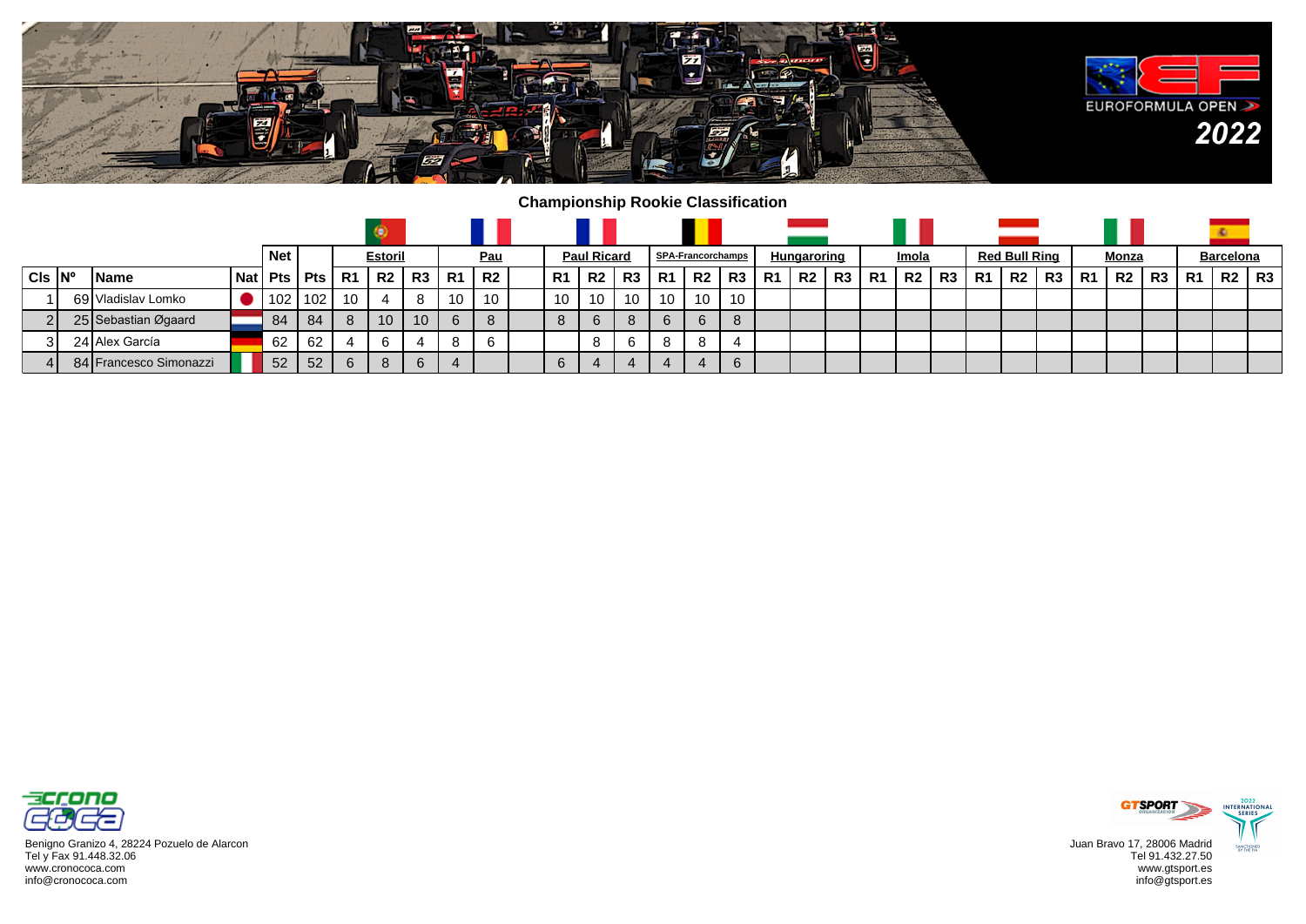

## **Championship Rookie Classification**

|  |                         |                        |            | <b>Net</b> |                |    | <b>Estoril</b> |    |           | <u>Pau</u>     |         | <b>Paul Ricard</b> |                |           | <b>SPA-Francorchamps</b> |      |    | Hungaroring    |    |     | Imola     |    |       | <b>Red Bull Ring</b> |                 |    | Monza |    |                | <b>Barcelona</b> |           |
|--|-------------------------|------------------------|------------|------------|----------------|----|----------------|----|-----------|----------------|---------|--------------------|----------------|-----------|--------------------------|------|----|----------------|----|-----|-----------|----|-------|----------------------|-----------------|----|-------|----|----------------|------------------|-----------|
|  | $CIs$ $\vert N^{\circ}$ | l Name                 | <b>Nat</b> |            | $Pts$ Pts $R1$ |    | ' R2.          | R3 | <b>R1</b> | R <sub>2</sub> | R1      | . R2               | R <sub>3</sub> | <b>R1</b> | R <sub>2</sub>           | , R3 | R1 | R <sub>2</sub> | R3 | -R1 | <b>R2</b> | R3 | 1 R1. | R2                   | R3 <sub>1</sub> | R1 | R2    | R3 | R <sub>1</sub> | R2               | <b>R3</b> |
|  |                         | 69 Vladislav Lomko     |            | 102        | l 102 l        | 10 |                |    | 10.       | 10             | 10      | 10                 | 10             | 10        | 10                       | 10   |    |                |    |     |           |    |       |                      |                 |    |       |    |                |                  |           |
|  |                         | 25 Sebastian Øgaard    |            | 84         | -84            | 8  | 10             | 10 | 6         |                | $\circ$ | 6                  | 8              | 6         | 6                        |      |    |                |    |     |           |    |       |                      |                 |    |       |    |                |                  |           |
|  | 31                      | 24 Alex García         |            | 62         | 62             |    |                | 4  | 8         |                |         |                    | 6              |           | 8                        |      |    |                |    |     |           |    |       |                      |                 |    |       |    |                |                  |           |
|  |                         | 84 Francesco Simonazzi |            | 52         | 52             | 6  | 8              | 6  |           |                |         | 4                  |                |           | 4                        | 6    |    |                |    |     |           |    |       |                      |                 |    |       |    |                |                  |           |



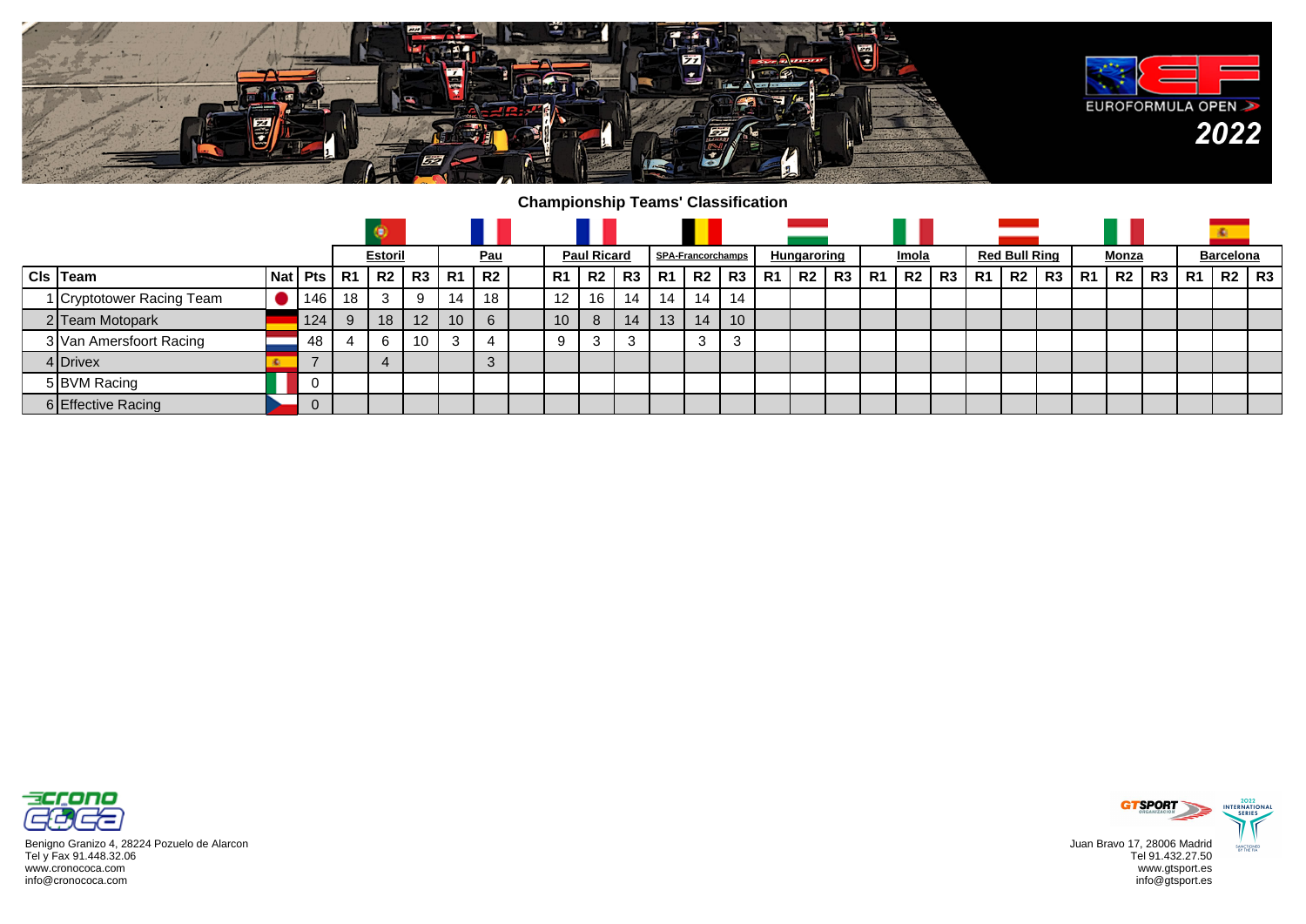

## **Championship Teams' Classification**

|                           |                |    | <b>Estoril</b> |                 |           | <u>Pau</u> | <b>Paul Ricard</b> |                |    |                | <b>SPA-Francorchamps</b> |    |    | Hungaroring    |    |           | Imola |         |           | <b>Red Bull Ring</b> |    |           | Monza |    |    | <b>Barcelona</b> |    |
|---------------------------|----------------|----|----------------|-----------------|-----------|------------|--------------------|----------------|----|----------------|--------------------------|----|----|----------------|----|-----------|-------|---------|-----------|----------------------|----|-----------|-------|----|----|------------------|----|
| $Cls$ Team                | Nat   Pts   R1 |    | R2             | R3              | <b>R1</b> | R2         | R1                 | R <sub>2</sub> | R3 | R <sub>1</sub> | R2                       | R3 | R1 | R <sub>2</sub> | R3 | <b>R1</b> |       | R2   R3 | <b>R1</b> | R2                   | R3 | <b>R1</b> | R2    | R3 | R1 | <b>R2</b> I      | R3 |
| 1 Cryptotower Racing Team | 146            | 18 | 3              | 9               | 14        | 18         | $12 \overline{ }$  | 16             | 14 | 14             | 14                       | 14 |    |                |    |           |       |         |           |                      |    |           |       |    |    |                  |    |
| 2 Team Motopark           | 124            | 9  | 18             | 12 <sup>2</sup> | 10        | 6          | 10 <sup>1</sup>    | 8              | 14 | 13             | 14                       | 10 |    |                |    |           |       |         |           |                      |    |           |       |    |    |                  |    |
| 3 Van Amersfoort Racing   | 48             |    | h              | 10 <sup>°</sup> |           |            | 9                  | J.             | 3  |                | 3                        | 3  |    |                |    |           |       |         |           |                      |    |           |       |    |    |                  |    |
| 4 Drivex                  |                |    |                |                 |           |            |                    |                |    |                |                          |    |    |                |    |           |       |         |           |                      |    |           |       |    |    |                  |    |
| 5 BVM Racing              |                |    |                |                 |           |            |                    |                |    |                |                          |    |    |                |    |           |       |         |           |                      |    |           |       |    |    |                  |    |
| 6 Effective Racing        | U              |    |                |                 |           |            |                    |                |    |                |                          |    |    |                |    |           |       |         |           |                      |    |           |       |    |    |                  |    |



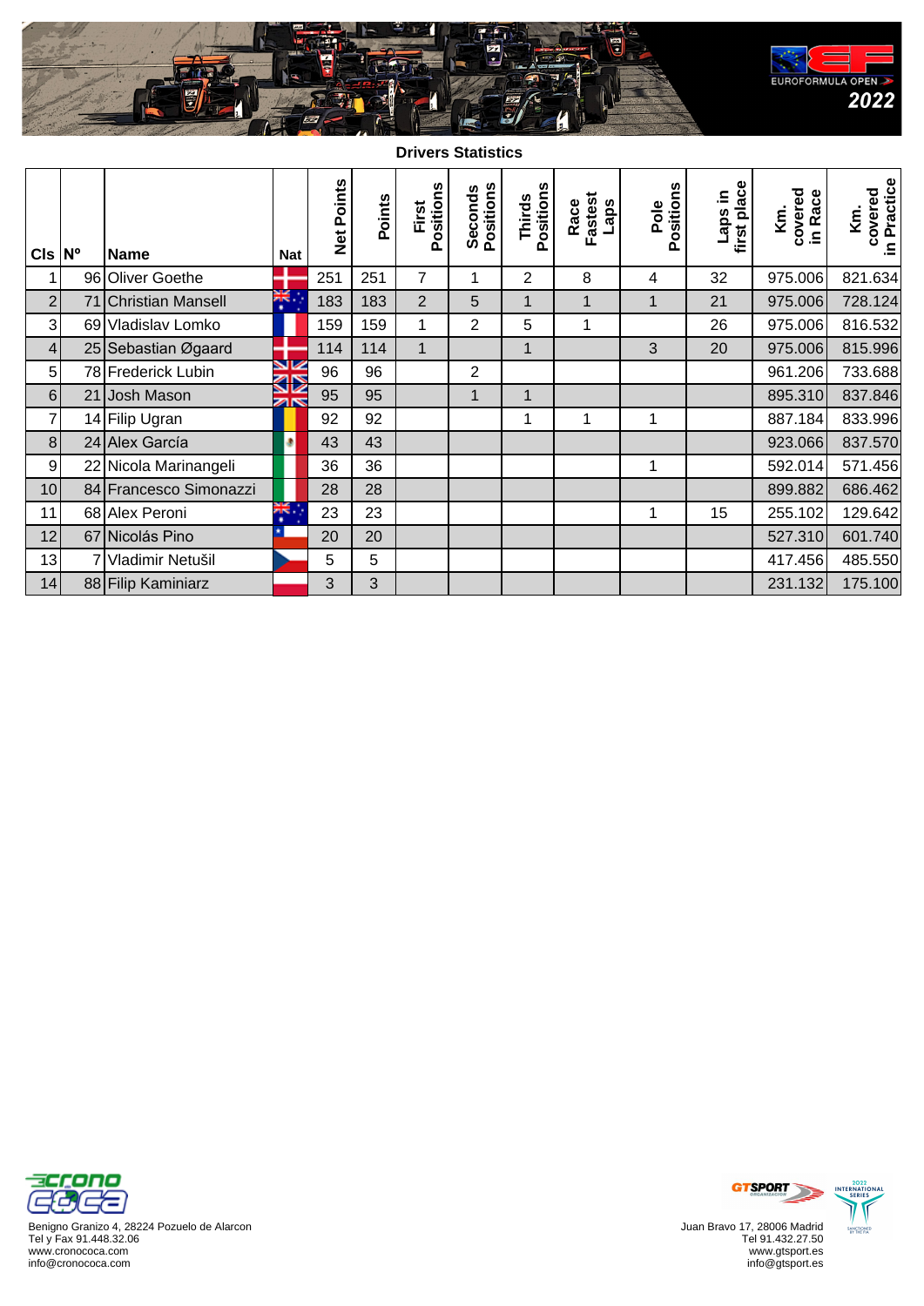

**Drivers Statistics**

| $CIs \,  N^{\circ} $ | <b>Name</b>            | <b>Nat</b>                    | Net Points | Points | Positions<br>First | Seconds<br>Positions | Positions<br>Thirds | Fastest<br>Race<br>Laps | Positions<br>Pole | first place<br>ni sde- | covered<br>in Race<br>Km. | in Practice<br>covered<br>Κ'n, |
|----------------------|------------------------|-------------------------------|------------|--------|--------------------|----------------------|---------------------|-------------------------|-------------------|------------------------|---------------------------|--------------------------------|
| 1                    | 96 Oliver Goethe       |                               | 251        | 251    | 7                  | 1                    | 2                   | 8                       | 4                 | 32                     | 975.006                   | 821.634                        |
| $\overline{2}$       | 71 Christian Mansell   | ж.                            | 183        | 183    | $\overline{2}$     | 5                    | 1                   | $\mathbf{1}$            | 1                 | 21                     | 975.006                   | 728.124                        |
| $\mathbf{3}$         | 69 Vladislav Lomko     |                               | 159        | 159    | 1                  | $\overline{2}$       | 5                   | 1                       |                   | 26                     | 975.006                   | 816.532                        |
| $\vert 4 \vert$      | 25 Sebastian Øgaard    |                               | 114        | 114    | $\mathbf{1}$       |                      | $\mathbf{1}$        |                         | 3                 | 20                     | 975.006                   | 815.996                        |
| 5 <sup>1</sup>       | 78 Frederick Lubin     | V                             | 96         | 96     |                    | $\overline{2}$       |                     |                         |                   |                        | 961.206                   | 733.688                        |
| 6 <sup>1</sup>       | 21 Josh Mason          | 32<br>$\overline{\mathbb{Z}}$ | 95         | 95     |                    | $\mathbf{1}$         | 1                   |                         |                   |                        | 895.310                   | 837.846                        |
| $\overline{7}$       | 14 Filip Ugran         |                               | 92         | 92     |                    |                      | 1                   | 1                       | 1                 |                        | 887.184                   | 833.996                        |
| 8 <sup>1</sup>       | 24 Alex García         | ۰                             | 43         | 43     |                    |                      |                     |                         |                   |                        | 923.066                   | 837.570                        |
| $\overline{9}$       | 22 Nicola Marinangeli  |                               | 36         | 36     |                    |                      |                     |                         | 1                 |                        | 592.014                   | 571.456                        |
| 10                   | 84 Francesco Simonazzi |                               | 28         | 28     |                    |                      |                     |                         |                   |                        | 899.882                   | 686.462                        |
| 11                   | 68 Alex Peroni         | NK.<br>٠                      | 23         | 23     |                    |                      |                     |                         | 1                 | 15                     | 255.102                   | 129.642                        |
| 12                   | 67 Nicolás Pino        |                               | 20         | 20     |                    |                      |                     |                         |                   |                        | 527.310                   | 601.740                        |
| 13                   | Vladimir Netušil       |                               | 5          | 5      |                    |                      |                     |                         |                   |                        | 417.456                   | 485.550                        |
| 14                   | 88 Filip Kaminiarz     |                               | 3          | 3      |                    |                      |                     |                         |                   |                        | 231.132                   | 175.100                        |



Benigno Granizo 4, 28224 Pozuelo de Alarcon Tel y Fax 91.448.32.06 www.cronococa.com info@cronococa.com



Juan Bravo 17, 28006 Madrid Tel 91.432.27.50 www.gtsport.es info@gtsport.es



2022